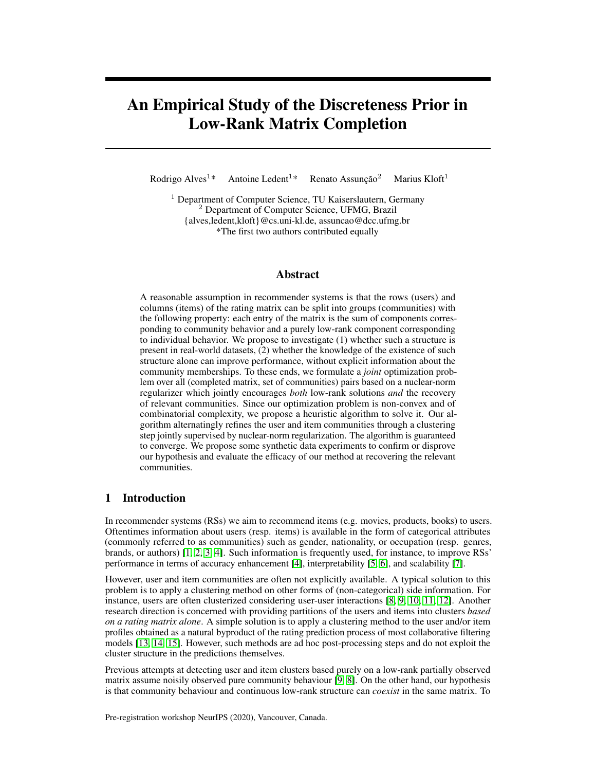# An Empirical Study of the Discreteness Prior in Low-Rank Matrix Completion

Rodrigo Alves<sup>1\*</sup> Antoine Ledent<sup>1\*</sup> Renato Assunção<sup>2</sup> Marius Kloft<sup>1</sup>

 $1$  Department of Computer Science, TU Kaiserslautern, Germany <sup>2</sup> Department of Computer Science, UFMG, Brazil {alves,ledent,kloft}@cs.uni-kl.de, assuncao@dcc.ufmg.br \*The first two authors contributed equally

# Abstract

A reasonable assumption in recommender systems is that the rows (users) and columns (items) of the rating matrix can be split into groups (communities) with the following property: each entry of the matrix is the sum of components corresponding to community behavior and a purely low-rank component corresponding to individual behavior. We propose to investigate (1) whether such a structure is present in real-world datasets, (2) whether the knowledge of the existence of such structure alone can improve performance, without explicit information about the community memberships. To these ends, we formulate a *joint* optimization problem over all (completed matrix, set of communities) pairs based on a nuclear-norm regularizer which jointly encourages *both* low-rank solutions *and* the recovery of relevant communities. Since our optimization problem is non-convex and of combinatorial complexity, we propose a heuristic algorithm to solve it. Our algorithm alternatingly refines the user and item communities through a clustering step jointly supervised by nuclear-norm regularization. The algorithm is guaranteed to converge. We propose some synthetic data experiments to confirm or disprove our hypothesis and evaluate the efficacy of our method at recovering the relevant communities.

# 1 Introduction

In recommender systems (RSs) we aim to recommend items (e.g. movies, products, books) to users. Oftentimes information about users (resp. items) is available in the form of categorical attributes (commonly referred to as communities) such as gender, nationality, or occupation (resp. genres, brands, or authors) [\[1,](#page-5-0) [2,](#page-5-1) [3,](#page-5-2) [4\]](#page-5-3). Such information is frequently used, for instance, to improve RSs' performance in terms of accuracy enhancement [\[4\]](#page-5-3), interpretability [\[5,](#page-5-4) [6\]](#page-5-5), and scalability [\[7\]](#page-6-0).

However, user and item communities are often not explicitly available. A typical solution to this problem is to apply a clustering method on other forms of (non-categorical) side information. For instance, users are often clusterized considering user-user interactions [\[8,](#page-6-1) [9,](#page-6-2) [10,](#page-6-3) [11,](#page-6-4) [12\]](#page-6-5). Another research direction is concerned with providing partitions of the users and items into clusters *based on a rating matrix alone*. A simple solution is to apply a clustering method to the user and/or item profiles obtained as a natural byproduct of the rating prediction process of most collaborative filtering models [\[13,](#page-6-6) [14,](#page-6-7) [15\]](#page-6-8). However, such methods are ad hoc post-processing steps and do not exploit the cluster structure in the predictions themselves.

Previous attempts at detecting user and item clusters based purely on a low-rank partially observed matrix assume noisily observed pure community behaviour [\[9,](#page-6-2) [8\]](#page-6-1). On the other hand, our hypothesis is that community behaviour and continuous low-rank structure can *coexist* in the same matrix. To

Pre-registration workshop NeurIPS (2020), Vancouver, Canada.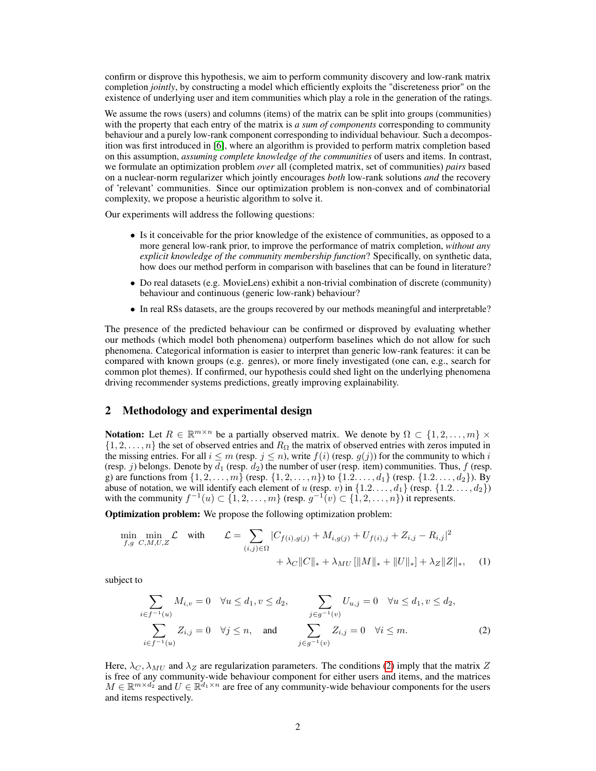confirm or disprove this hypothesis, we aim to perform community discovery and low-rank matrix completion *jointly*, by constructing a model which efficiently exploits the "discreteness prior" on the existence of underlying user and item communities which play a role in the generation of the ratings.

We assume the rows (users) and columns (items) of the matrix can be split into groups (communities) with the property that each entry of the matrix is *a sum of components* corresponding to community behaviour and a purely low-rank component corresponding to individual behaviour. Such a decomposition was first introduced in [\[6\]](#page-5-5), where an algorithm is provided to perform matrix completion based on this assumption, *assuming complete knowledge of the communities* of users and items. In contrast, we formulate an optimization problem *over* all (completed matrix, set of communities) *pairs* based on a nuclear-norm regularizer which jointly encourages *both* low-rank solutions *and* the recovery of 'relevant' communities. Since our optimization problem is non-convex and of combinatorial complexity, we propose a heuristic algorithm to solve it.

Our experiments will address the following questions:

- Is it conceivable for the prior knowledge of the existence of communities, as opposed to a more general low-rank prior, to improve the performance of matrix completion, *without any explicit knowledge of the community membership function*? Specifically, on synthetic data, how does our method perform in comparison with baselines that can be found in literature?
- Do real datasets (e.g. MovieLens) exhibit a non-trivial combination of discrete (community) behaviour and continuous (generic low-rank) behaviour?
- In real RSs datasets, are the groups recovered by our methods meaningful and interpretable?

The presence of the predicted behaviour can be confirmed or disproved by evaluating whether our methods (which model both phenomena) outperform baselines which do not allow for such phenomena. Categorical information is easier to interpret than generic low-rank features: it can be compared with known groups (e.g. genres), or more finely investigated (one can, e.g., search for common plot themes). If confirmed, our hypothesis could shed light on the underlying phenomena driving recommender systems predictions, greatly improving explainability.

## 2 Methodology and experimental design

Notation: Let  $R \in \mathbb{R}^{m \times n}$  be a partially observed matrix. We denote by  $\Omega \subset \{1, 2, ..., m\}$  ×  $\{1, 2, \ldots, n\}$  the set of observed entries and  $R_{\Omega}$  the matrix of observed entries with zeros imputed in the missing entries. For all  $i \leq m$  (resp.  $j \leq n$ ), write  $f(i)$  (resp.  $g(j)$ ) for the community to which i (resp. j) belongs. Denote by  $d_1$  (resp.  $d_2$ ) the number of user (resp. item) communities. Thus, f (resp. g) are functions from  $\{1, 2, ..., m\}$  (resp.  $\{1, 2, ..., n\}$ ) to  $\{1, 2, ..., d_1\}$  (resp.  $\{1, 2, ..., d_2\}$ ). By abuse of notation, we will identify each element of u (resp. v) in  $\{1.2.\dots, d_1\}$  (resp.  $\{1.2.\dots, d_2\}$ ) with the community  $f^{-1}(u) \subset \{1, 2, ..., m\}$  (resp.  $g^{-1}(v) \subset \{1, 2, ..., n\}$ ) it represents.

Optimization problem: We propose the following optimization problem:

$$
\min_{f,g \ C,M,U,Z} \mathcal{L} \quad \text{with} \qquad \mathcal{L} = \sum_{(i,j)\in\Omega} |C_{f(i),g(j)} + M_{i,g(j)} + U_{f(i),j} + Z_{i,j} - R_{i,j}|^2 + \lambda_C ||C||_* + \lambda_{MU} [||M||_* + ||U||_*] + \lambda_Z ||Z||_*, \quad (1)
$$

subject to

<span id="page-1-1"></span><span id="page-1-0"></span>
$$
\sum_{i \in f^{-1}(u)} M_{i,v} = 0 \quad \forall u \le d_1, v \le d_2, \qquad \sum_{j \in g^{-1}(v)} U_{u,j} = 0 \quad \forall u \le d_1, v \le d_2, \sum_{i \in f^{-1}(u)} Z_{i,j} = 0 \quad \forall j \le n, \quad \text{and} \quad \sum_{j \in g^{-1}(v)} Z_{i,j} = 0 \quad \forall i \le m.
$$
\n(2)

Here,  $\lambda_C$ ,  $\lambda_{MU}$  and  $\lambda_Z$  are regularization parameters. The conditions [\(2\)](#page-1-0) imply that the matrix Z is free of any community-wide behaviour component for either users and items, and the matrices  $M \in \mathbb{R}^{m \times d_2}$  and  $U \in \mathbb{R}^{d_1 \times n}$  are free of any community-wide behaviour components for the users and items respectively.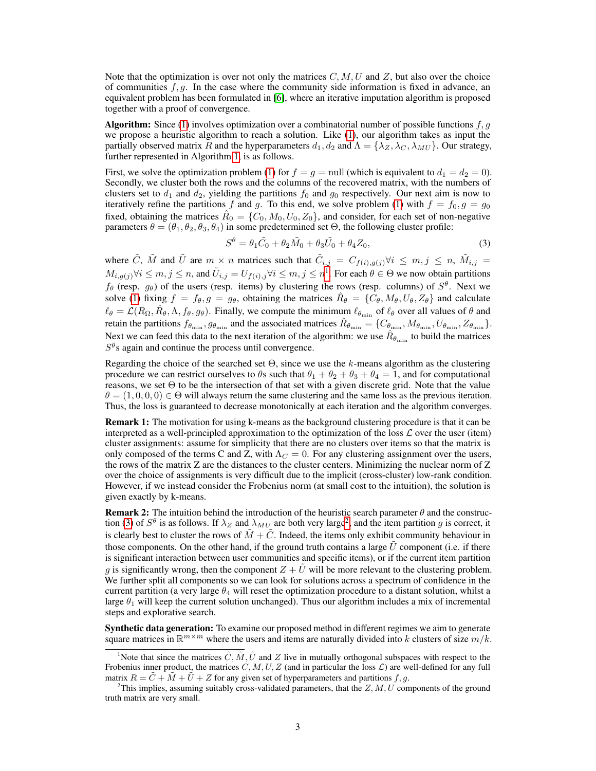Note that the optimization is over not only the matrices  $C, M, U$  and Z, but also over the choice of communities  $f, q$ . In the case where the community side information is fixed in advance, an equivalent problem has been formulated in [\[6\]](#page-5-5), where an iterative imputation algorithm is proposed together with a proof of convergence.

**Algorithm:** Since [\(1\)](#page-1-1) involves optimization over a combinatorial number of possible functions  $f, g$ we propose a heuristic algorithm to reach a solution. Like [\(1\)](#page-1-1), our algorithm takes as input the partially observed matrix R and the hyperparameters  $d_1, d_2$  and  $\Lambda = {\lambda_Z, \lambda_C, \lambda_{MU}}$ . Our strategy, further represented in Algorithm [1,](#page-3-0) is as follows.

First, we solve the optimization problem [\(1\)](#page-1-1) for  $f = g = \text{null}$  (which is equivalent to  $d_1 = d_2 = 0$ ). Secondly, we cluster both the rows and the columns of the recovered matrix, with the numbers of clusters set to  $d_1$  and  $d_2$ , yielding the partitions  $f_0$  and  $g_0$  respectively. Our next aim is now to iteratively refine the partitions f and g. To this end, we solve problem [\(1\)](#page-1-1) with  $f = f_0$ ,  $g = g_0$ fixed, obtaining the matrices  $\hat{R}_0 = \{C_0, M_0, U_0, Z_0\}$ , and consider, for each set of non-negative parameters  $\theta = (\theta_1, \theta_2, \theta_3, \theta_4)$  in some predetermined set  $\Theta$ , the following cluster profile:

<span id="page-2-1"></span>
$$
S^{\theta} = \theta_1 \tilde{C}_0 + \theta_2 \tilde{M}_0 + \theta_3 \tilde{U}_0 + \theta_4 Z_0, \tag{3}
$$

where  $\tilde{C}$ ,  $\tilde{M}$  and  $\tilde{U}$  are  $m \times n$  matrices such that  $\tilde{C}_{i,j} = C_{f(i),g(j)} \forall i \leq m, j \leq n$ ,  $\tilde{M}_{i,j} =$  $M_{i,g(j)} \forall i \leq m, j \leq n$ , and  $\tilde{U}_{i,j} = U_{f(i),j} \forall i \leq m, j \leq n^{\frac{1}{2}}$  $\tilde{U}_{i,j} = U_{f(i),j} \forall i \leq m, j \leq n^{\frac{1}{2}}$  $\tilde{U}_{i,j} = U_{f(i),j} \forall i \leq m, j \leq n^{\frac{1}{2}}$ . For each  $\theta \in \Theta$  we now obtain partitions  $f_{\theta}$  (resp.  $g_{\theta}$ ) of the users (resp. items) by clustering the rows (resp. columns) of  $S^{\theta}$ . Next we solve [\(1\)](#page-1-1) fixing  $f = f_{\theta}, g = g_{\theta}$ , obtaining the matrices  $\hat{R}_{\theta} = \{C_{\theta}, M_{\theta}, U_{\theta}, Z_{\theta}\}\$  and calculate  $\ell_\theta = \mathcal{L}(R_\Omega, \hat{R}_\theta, \Lambda, f_\theta, g_\theta)$ . Finally, we compute the minimum  $\ell_{\theta_{\min}}$  of  $\ell_\theta$  over all values of  $\theta$  and retain the partitions  $f_{\theta_{\min}}, g_{\theta_{\min}}$  and the associated matrices  $\hat{R}_{\theta_{\min}} = \{C_{\theta_{\min}}, M_{\theta_{\min}}, U_{\theta_{\min}}, Z_{\theta_{\min}}\}$ . Next we can feed this data to the next iteration of the algorithm: we use  $\hat{R}_{\theta_{\rm min}}$  to build the matrices  $S^{\theta}$ s again and continue the process until convergence.

Regarding the choice of the searched set  $\Theta$ , since we use the k-means algorithm as the clustering procedure we can restrict ourselves to  $\theta$ s such that  $\theta_1 + \theta_2 + \theta_3 + \theta_4 = 1$ , and for computational reasons, we set  $\Theta$  to be the intersection of that set with a given discrete grid. Note that the value  $\theta = (1, 0, 0, 0) \in \Theta$  will always return the same clustering and the same loss as the previous iteration. Thus, the loss is guaranteed to decrease monotonically at each iteration and the algorithm converges.

**Remark 1:** The motivation for using k-means as the background clustering procedure is that it can be interpreted as a well-principled approximation to the optimization of the loss  $\mathcal L$  over the user (item) cluster assignments: assume for simplicity that there are no clusters over items so that the matrix is only composed of the terms C and Z, with  $\Lambda_C = 0$ . For any clustering assignment over the users, the rows of the matrix Z are the distances to the cluster centers. Minimizing the nuclear norm of Z over the choice of assignments is very difficult due to the implicit (cross-cluster) low-rank condition. However, if we instead consider the Frobenius norm (at small cost to the intuition), the solution is given exactly by k-means.

**Remark 2:** The intuition behind the introduction of the heuristic search parameter  $\theta$  and the construc-tion [\(3\)](#page-2-1) of  $S^{\theta}$  is as follows. If  $\lambda_Z$  and  $\lambda_{MU}$  are both very large<sup>[2](#page-2-2)</sup>, and the item partition g is correct, it is clearly best to cluster the rows of  $\tilde{M} + \tilde{C}$ . Indeed, the items only exhibit community behaviour in those components. On the other hand, if the ground truth contains a large  $\tilde{U}$  component (i.e. if there is significant interaction between user communities and specific items), or if the current item partition g is significantly wrong, then the component  $Z + \tilde{U}$  will be more relevant to the clustering problem. We further split all components so we can look for solutions across a spectrum of confidence in the current partition (a very large  $\theta_4$  will reset the optimization procedure to a distant solution, whilst a large  $\theta_1$  will keep the current solution unchanged). Thus our algorithm includes a mix of incremental steps and explorative search.

**Synthetic data generation:** To examine our proposed method in different regimes we aim to generate square matrices in  $\mathbb{R}^{m \times m}$  where the users and items are naturally divided into k clusters of size  $m/k$ .

<span id="page-2-0"></span><sup>&</sup>lt;sup>1</sup>Note that since the matrices  $\tilde{C}$ ,  $\tilde{M}$ ,  $\tilde{U}$  and Z live in mutually orthogonal subspaces with respect to the Frobenius inner product, the matrices  $C, M, U, Z$  (and in particular the loss  $\mathcal{L}$ ) are well-defined for any full matrix  $R = C + M + U + Z$  for any given set of hyperparameters and partitions f, g.

<span id="page-2-2"></span><sup>&</sup>lt;sup>2</sup>This implies, assuming suitably cross-validated parameters, that the  $Z, M, U$  components of the ground truth matrix are very small.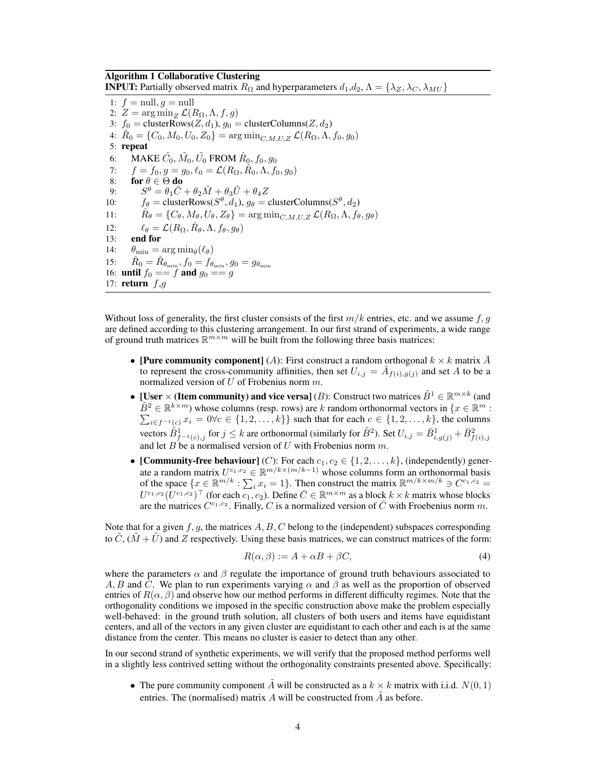#### <span id="page-3-0"></span>Algorithm 1 Collaborative Clustering

**INPUT:** Partially observed matrix  $R_{\Omega}$  and hyperparameters  $d_1, d_2, \Lambda = {\lambda_Z, \lambda_C, \lambda_{MU}}$ 

1:  $f = \text{null}, q = \text{null}$ 2:  $Z = \arg \min_{Z} \mathcal{L}(R_{\Omega}, \Lambda, f, g)$ 3:  $f_0 = \text{clusterRows}(Z, d_1), g_0 = \text{clusterColumns}(Z, d_2)$ 4:  $\hat{R}_0 = \{C_0, M_0, U_0, Z_0\} = \arg\min_{C, M, U, Z} \mathcal{L}(R_{\Omega}, \Lambda, f_0, g_0)$ 5: repeat 6: MAKE  $\tilde{C_0}, \tilde{M_0}, \tilde{U_0}$  from  $\hat{R}_0, f_0, g_0$ 7:  $f = f_0, g = g_0, \ell_0 = \mathcal{L}(R_{\Omega}, \hat{R}_0, \Lambda, f_0, g_0)$ 8: for  $\theta \in \Theta$  do 9:  $S^{\theta} = \theta_1 \tilde{C} + \theta_2 \tilde{M} + \theta_3 \tilde{U} + \theta_4 Z$ 10:  $f_{\theta} = \text{clusterRows}(S^{\theta}, d_1), g_{\theta} = \text{clusterColumns}(S^{\theta}, d_2)$ 11:  $\hat{R}_{\theta} = \{C_{\theta}, M_{\theta}, U_{\theta}, Z_{\theta}\} = \arg \min_{C, M, U, Z} \mathcal{L}(R_{\Omega}, \Lambda, f_{\theta}, g_{\theta})$ 12:  $\ell_{\theta} = \mathcal{L}(R_{\Omega}, \hat{R}_{\theta}, \Lambda, f_{\theta}, g_{\theta})$ 13: end for 14:  $\theta_{\min} = \arg \min_{\theta} (\ell_{\theta})$ 15:  $\hat{R}_0 = \hat{R}_{\theta_{\min}}, f_0 = f_{\theta_{\min}}, g_0 = g_{\theta_{\min}}$ 16: **until**  $f_0 == f$  **and**  $g_0 == g$ 17: return  $f,g$ 

Without loss of generality, the first cluster consists of the first  $m/k$  entries, etc. and we assume f, g are defined according to this clustering arrangement. In our first strand of experiments, a wide range of ground truth matrices  $\mathbb{R}^{m \times m}$  will be built from the following three basis matrices:

- [Pure community component] (A): First construct a random orthogonal  $k \times k$  matrix  $\overline{A}$ to represent the cross-community affinities, then set  $U_{i,j} = \overline{A}_{f(i),g(j)}$  and set A to be a normalized version of  $U$  of Frobenius norm  $m$ .
- [User  $\times$  (Item community) and vice versa] (*B*): Construct two matrices  $\tilde{B}^1 \in \mathbb{R}^{m \times k}$  (and  $\tilde{B}^2 \in \mathbb{R}^{k \times m}$ ) whose columns (resp. rows) are k random orthonormal vectors in  $\{x \in \mathbb{R}^m\}$  $B^2 \in \mathbb{R}^{k \times m}$ ) whose columns (resp. rows) are k random orthonormal vectors in  $\{x \in \mathbb{R}^m : \sum_{i \in f^{-1}(c)} x_i = 0 \forall c \in \{1, 2, ..., k\}\}$  such that for each  $c \in \{1, 2, ..., k\}$ , the columns vectors  $\tilde{B}^1_{f^{-1}(c),j}$  for  $j \leq k$  are orthonormal (similarly for  $\tilde{B}^2$ ). Set  $U_{i,j} = \bar{B}^1_{i,g(j)} + \bar{B}^2_{f(i),j}$ and let B be a normalised version of U with Frobenius norm  $m$ .
- [Community-free behaviour] (C): For each  $c_1, c_2 \in \{1, 2, ..., k\}$ , (independently) generate a random matrix  $U^{c_1,c_2} \in \mathbb{R}^{m/k \times (m/k-1)}$  whose columns form an orthonormal basis of the space  $\{x \in \mathbb{R}^{m/k} : \sum_i x_i = 1\}$ . Then construct the matrix  $\mathbb{R}^{m/k \times m/k} \ni C^{c_1, c_2} =$  $U^{c_1,c_2}(U^{c_1,c_2})^{\top}$  (for each  $\overline{c_1}, c_2$ ). Define  $\overline{C} \in \mathbb{R}^{m \times m}$  as a block  $k \times k$  matrix whose blocks are the matrices  $\tilde{C}^{c_1,c_2}$ . Finally, C is a normalized version of  $\bar{C}$  with Froebenius norm m.

Note that for a given  $f, g$ , the matrices  $A, B, C$  belong to the (independent) subspaces corresponding to  $\tilde{C}$ ,  $(\tilde{M} + \tilde{U})$  and Z respectively. Using these basis matrices, we can construct matrices of the form:

$$
R(\alpha, \beta) := A + \alpha B + \beta C,\tag{4}
$$

where the parameters  $\alpha$  and  $\beta$  regulate the importance of ground truth behaviours associated to A, B and C. We plan to run experiments varying  $\alpha$  and  $\beta$  as well as the proportion of observed entries of  $R(\alpha, \beta)$  and observe how our method performs in different difficulty regimes. Note that the orthogonality conditions we imposed in the specific construction above make the problem especially well-behaved: in the ground truth solution, all clusters of both users and items have equidistant centers, and all of the vectors in any given cluster are equidistant to each other and each is at the same distance from the center. This means no cluster is easier to detect than any other.

In our second strand of synthetic experiments, we will verify that the proposed method performs well in a slightly less contrived setting without the orthogonality constraints presented above. Specifically:

• The pure community component  $\tilde{A}$  will be constructed as a  $k \times k$  matrix with i.i.d.  $N(0, 1)$ entries. The (normalised) matrix A will be constructed from  $\tilde{A}$  as before.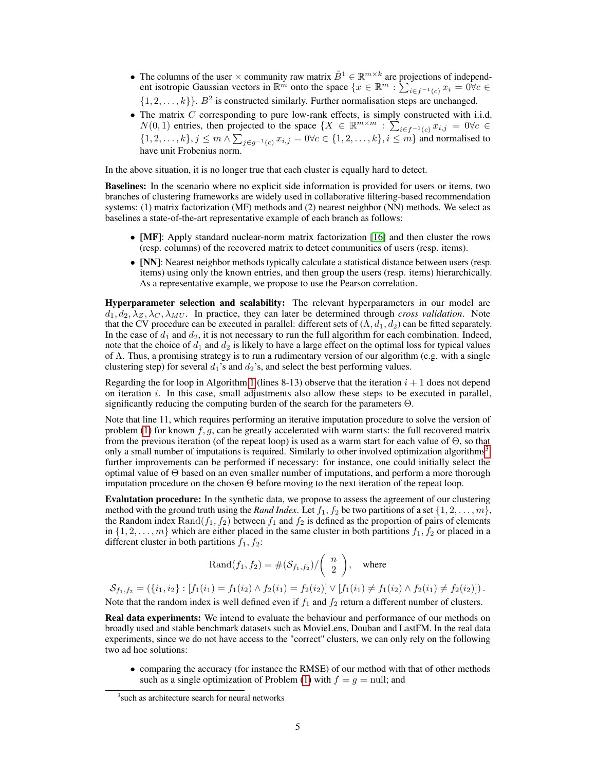- The columns of the user  $\times$  community raw matrix  $\tilde{B}^1 \in \mathbb{R}^{m \times k}$  are projections of independent isotropic Gaussian vectors in  $\mathbb{R}^m$  onto the space  $\{x \in \mathbb{R}^m : \sum_{i \in f^{-1}(c)} x_i = 0 \forall c \in$  $\{1, 2, \ldots, k\}$ .  $B^2$  is constructed similarly. Further normalisation steps are unchanged.
- The matrix  $C$  corresponding to pure low-rank effects, is simply constructed with i.i.d.  $N(0,1)$  entries, then projected to the space  $\{X \in \mathbb{R}^{m \times m} : \sum_{i \in f^{-1}(c)} x_{i,j} = 0 \forall c \in$  $\{1, 2, \ldots, k\}, j \leq m \wedge \sum_{j \in g^{-1}(c)} x_{i,j} = 0 \forall c \in \{1, 2, \ldots, k\}, i \leq m\}$  and normalised to have unit Frobenius norm.

In the above situation, it is no longer true that each cluster is equally hard to detect.

Baselines: In the scenario where no explicit side information is provided for users or items, two branches of clustering frameworks are widely used in collaborative filtering-based recommendation systems: (1) matrix factorization (MF) methods and (2) nearest neighbor (NN) methods. We select as baselines a state-of-the-art representative example of each branch as follows:

- [MF]: Apply standard nuclear-norm matrix factorization [\[16\]](#page-6-9) and then cluster the rows (resp. columns) of the recovered matrix to detect communities of users (resp. items).
- [NN]: Nearest neighbor methods typically calculate a statistical distance between users (resp. items) using only the known entries, and then group the users (resp. items) hierarchically. As a representative example, we propose to use the Pearson correlation.

Hyperparameter selection and scalability: The relevant hyperparameters in our model are  $d_1, d_2, \lambda_Z, \lambda_C, \lambda_{MU}$ . In practice, they can later be determined through *cross validation*. Note that the CV procedure can be executed in parallel: different sets of  $(\Lambda, d_1, d_2)$  can be fitted separately. In the case of  $d_1$  and  $d_2$ , it is not necessary to run the full algorithm for each combination. Indeed, note that the choice of  $d_1$  and  $d_2$  is likely to have a large effect on the optimal loss for typical values of Λ. Thus, a promising strategy is to run a rudimentary version of our algorithm (e.g. with a single clustering step) for several  $d_1$ 's and  $d_2$ 's, and select the best performing values.

Regarding the for loop in Algorithm [1](#page-3-0) (lines 8-13) observe that the iteration  $i + 1$  does not depend on iteration  $i$ . In this case, small adjustments also allow these steps to be executed in parallel, significantly reducing the computing burden of the search for the parameters  $\Theta$ .

Note that line 11, which requires performing an iterative imputation procedure to solve the version of problem [\(1\)](#page-1-1) for known  $f, g$ , can be greatly accelerated with warm starts: the full recovered matrix from the previous iteration (of the repeat loop) is used as a warm start for each value of Θ, so that only a small number of imputations is required. Similarly to other involved optimization algorithms<sup>[3](#page-4-0)</sup>, further improvements can be performed if necessary: for instance, one could initially select the optimal value of Θ based on an even smaller number of imputations, and perform a more thorough imputation procedure on the chosen Θ before moving to the next iteration of the repeat loop.

Evalutation procedure: In the synthetic data, we propose to assess the agreement of our clustering method with the ground truth using the *Rand Index*. Let  $f_1, f_2$  be two partitions of a set  $\{1, 2, \ldots, m\}$ , the Random index  $\text{Rand}(f_1, f_2)$  between  $f_1$  and  $f_2$  is defined as the proportion of pairs of elements in  $\{1, 2, \ldots, m\}$  which are either placed in the same cluster in both partitions  $f_1, f_2$  or placed in a different cluster in both partitions  $f_1, f_2$ :

$$
\text{Rand}(f_1, f_2) = \#(\mathcal{S}_{f_1, f_2}) / \binom{n}{2}, \quad \text{where}
$$

 $\mathcal{S}_{f_1,f_2} = (\{i_1,i_2\} : [f_1(i_1) = f_1(i_2) \wedge f_2(i_1) = f_2(i_2)] \vee [f_1(i_1) \neq f_1(i_2) \wedge f_2(i_1) \neq f_2(i_2)])$ . Note that the random index is well defined even if  $f_1$  and  $f_2$  return a different number of clusters.

Real data experiments: We intend to evaluate the behaviour and performance of our methods on broadly used and stable benchmark datasets such as MovieLens, Douban and LastFM. In the real data experiments, since we do not have access to the "correct" clusters, we can only rely on the following two ad hoc solutions:

• comparing the accuracy (for instance the RMSE) of our method with that of other methods such as a single optimization of Problem [\(1\)](#page-1-1) with  $f = g = \text{null}$ ; and

<span id="page-4-0"></span><sup>&</sup>lt;sup>3</sup> such as architecture search for neural networks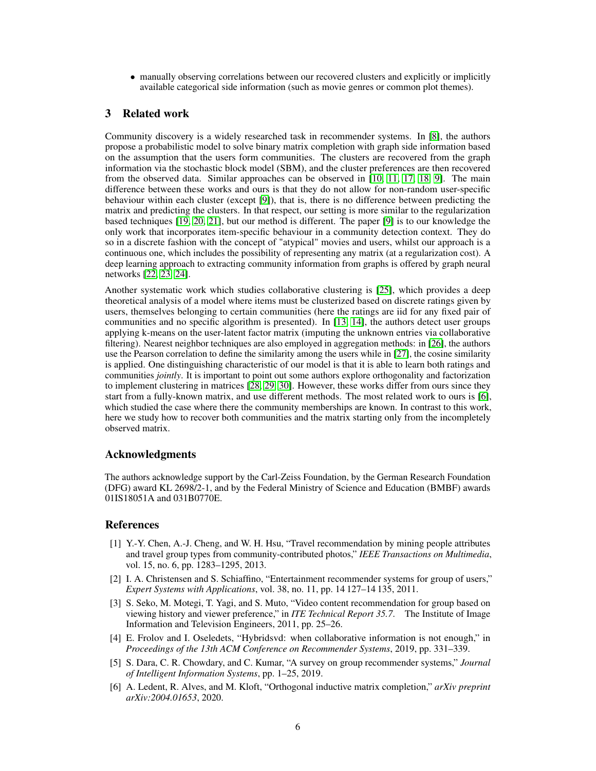• manually observing correlations between our recovered clusters and explicitly or implicitly available categorical side information (such as movie genres or common plot themes).

# 3 Related work

Community discovery is a widely researched task in recommender systems. In [\[8\]](#page-6-1), the authors propose a probabilistic model to solve binary matrix completion with graph side information based on the assumption that the users form communities. The clusters are recovered from the graph information via the stochastic block model (SBM), and the cluster preferences are then recovered from the observed data. Similar approaches can be observed in [\[10,](#page-6-3) [11,](#page-6-4) [17,](#page-6-10) [18,](#page-6-11) [9\]](#page-6-2). The main difference between these works and ours is that they do not allow for non-random user-specific behaviour within each cluster (except [\[9\]](#page-6-2)), that is, there is no difference between predicting the matrix and predicting the clusters. In that respect, our setting is more similar to the regularization based techniques [\[19,](#page-6-12) [20,](#page-6-13) [21\]](#page-6-14), but our method is different. The paper [\[9\]](#page-6-2) is to our knowledge the only work that incorporates item-specific behaviour in a community detection context. They do so in a discrete fashion with the concept of "atypical" movies and users, whilst our approach is a continuous one, which includes the possibility of representing any matrix (at a regularization cost). A deep learning approach to extracting community information from graphs is offered by graph neural networks [\[22,](#page-6-15) [23,](#page-6-16) [24\]](#page-6-17).

Another systematic work which studies collaborative clustering is [\[25\]](#page-6-18), which provides a deep theoretical analysis of a model where items must be clusterized based on discrete ratings given by users, themselves belonging to certain communities (here the ratings are iid for any fixed pair of communities and no specific algorithm is presented). In [\[13,](#page-6-6) [14\]](#page-6-7), the authors detect user groups applying k-means on the user-latent factor matrix (imputing the unknown entries via collaborative filtering). Nearest neighbor techniques are also employed in aggregation methods: in [\[26\]](#page-7-0), the authors use the Pearson correlation to define the similarity among the users while in [\[27\]](#page-7-1), the cosine similarity is applied. One distinguishing characteristic of our model is that it is able to learn both ratings and communities *jointly*. It is important to point out some authors explore orthogonality and factorization to implement clustering in matrices [\[28,](#page-7-2) [29,](#page-7-3) [30\]](#page-7-4). However, these works differ from ours since they start from a fully-known matrix, and use different methods. The most related work to ours is [\[6\]](#page-5-5), which studied the case where there the community memberships are known. In contrast to this work, here we study how to recover both communities and the matrix starting only from the incompletely observed matrix.

## Acknowledgments

The authors acknowledge support by the Carl-Zeiss Foundation, by the German Research Foundation (DFG) award KL 2698/2-1, and by the Federal Ministry of Science and Education (BMBF) awards 01IS18051A and 031B0770E.

## References

- <span id="page-5-0"></span>[1] Y.-Y. Chen, A.-J. Cheng, and W. H. Hsu, "Travel recommendation by mining people attributes and travel group types from community-contributed photos," *IEEE Transactions on Multimedia*, vol. 15, no. 6, pp. 1283–1295, 2013.
- <span id="page-5-1"></span>[2] I. A. Christensen and S. Schiaffino, "Entertainment recommender systems for group of users," *Expert Systems with Applications*, vol. 38, no. 11, pp. 14 127–14 135, 2011.
- <span id="page-5-2"></span>[3] S. Seko, M. Motegi, T. Yagi, and S. Muto, "Video content recommendation for group based on viewing history and viewer preference," in *ITE Technical Report 35.7*. The Institute of Image Information and Television Engineers, 2011, pp. 25–26.
- <span id="page-5-3"></span>[4] E. Frolov and I. Oseledets, "Hybridsvd: when collaborative information is not enough," in *Proceedings of the 13th ACM Conference on Recommender Systems*, 2019, pp. 331–339.
- <span id="page-5-4"></span>[5] S. Dara, C. R. Chowdary, and C. Kumar, "A survey on group recommender systems," *Journal of Intelligent Information Systems*, pp. 1–25, 2019.
- <span id="page-5-5"></span>[6] A. Ledent, R. Alves, and M. Kloft, "Orthogonal inductive matrix completion," *arXiv preprint arXiv:2004.01653*, 2020.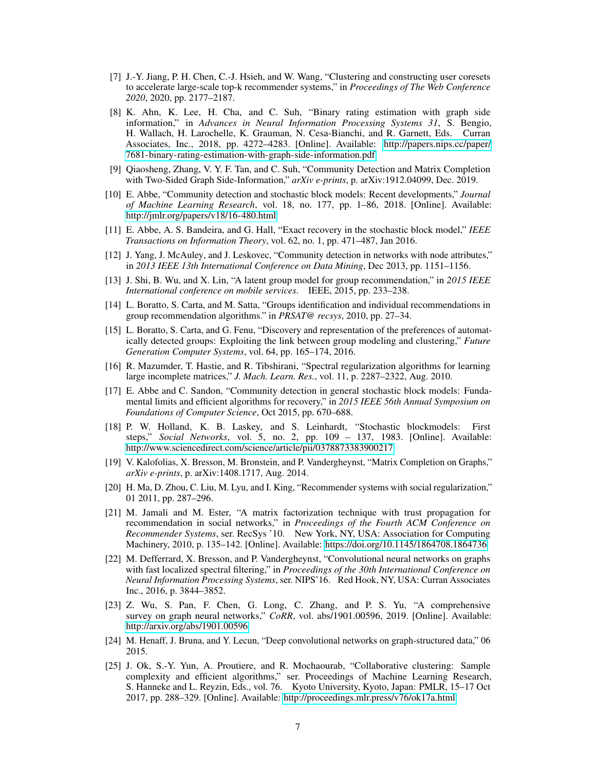- <span id="page-6-0"></span>[7] J.-Y. Jiang, P. H. Chen, C.-J. Hsieh, and W. Wang, "Clustering and constructing user coresets to accelerate large-scale top-k recommender systems," in *Proceedings of The Web Conference 2020*, 2020, pp. 2177–2187.
- <span id="page-6-1"></span>[8] K. Ahn, K. Lee, H. Cha, and C. Suh, "Binary rating estimation with graph side information," in *Advances in Neural Information Processing Systems 31*, S. Bengio, H. Wallach, H. Larochelle, K. Grauman, N. Cesa-Bianchi, and R. Garnett, Eds. Curran Associates, Inc., 2018, pp. 4272–4283. [Online]. Available: [http://papers.nips.cc/paper/](http://papers.nips.cc/paper/7681-binary-rating-estimation-with-graph-side-information.pdf) [7681-binary-rating-estimation-with-graph-side-information.pdf](http://papers.nips.cc/paper/7681-binary-rating-estimation-with-graph-side-information.pdf)
- <span id="page-6-2"></span>[9] Qiaosheng, Zhang, V. Y. F. Tan, and C. Suh, "Community Detection and Matrix Completion with Two-Sided Graph Side-Information," *arXiv e-prints*, p. arXiv:1912.04099, Dec. 2019.
- <span id="page-6-3"></span>[10] E. Abbe, "Community detection and stochastic block models: Recent developments," *Journal of Machine Learning Research*, vol. 18, no. 177, pp. 1–86, 2018. [Online]. Available: <http://jmlr.org/papers/v18/16-480.html>
- <span id="page-6-4"></span>[11] E. Abbe, A. S. Bandeira, and G. Hall, "Exact recovery in the stochastic block model," *IEEE Transactions on Information Theory*, vol. 62, no. 1, pp. 471–487, Jan 2016.
- <span id="page-6-5"></span>[12] J. Yang, J. McAuley, and J. Leskovec, "Community detection in networks with node attributes," in *2013 IEEE 13th International Conference on Data Mining*, Dec 2013, pp. 1151–1156.
- <span id="page-6-6"></span>[13] J. Shi, B. Wu, and X. Lin, "A latent group model for group recommendation," in *2015 IEEE International conference on mobile services*. IEEE, 2015, pp. 233–238.
- <span id="page-6-7"></span>[14] L. Boratto, S. Carta, and M. Satta, "Groups identification and individual recommendations in group recommendation algorithms." in *PRSAT@ recsys*, 2010, pp. 27–34.
- <span id="page-6-8"></span>[15] L. Boratto, S. Carta, and G. Fenu, "Discovery and representation of the preferences of automatically detected groups: Exploiting the link between group modeling and clustering," *Future Generation Computer Systems*, vol. 64, pp. 165–174, 2016.
- <span id="page-6-9"></span>[16] R. Mazumder, T. Hastie, and R. Tibshirani, "Spectral regularization algorithms for learning large incomplete matrices," *J. Mach. Learn. Res.*, vol. 11, p. 2287–2322, Aug. 2010.
- <span id="page-6-10"></span>[17] E. Abbe and C. Sandon, "Community detection in general stochastic block models: Fundamental limits and efficient algorithms for recovery," in *2015 IEEE 56th Annual Symposium on Foundations of Computer Science*, Oct 2015, pp. 670–688.
- <span id="page-6-11"></span>[18] P. W. Holland, K. B. Laskey, and S. Leinhardt, "Stochastic blockmodels: First steps," *Social Networks*, vol. 5, no. 2, pp. 109 – 137, 1983. [Online]. Available: <http://www.sciencedirect.com/science/article/pii/0378873383900217>
- <span id="page-6-12"></span>[19] V. Kalofolias, X. Bresson, M. Bronstein, and P. Vandergheynst, "Matrix Completion on Graphs," *arXiv e-prints*, p. arXiv:1408.1717, Aug. 2014.
- <span id="page-6-13"></span>[20] H. Ma, D. Zhou, C. Liu, M. Lyu, and I. King, "Recommender systems with social regularization," 01 2011, pp. 287–296.
- <span id="page-6-14"></span>[21] M. Jamali and M. Ester, "A matrix factorization technique with trust propagation for recommendation in social networks," in *Proceedings of the Fourth ACM Conference on Recommender Systems*, ser. RecSys '10. New York, NY, USA: Association for Computing Machinery, 2010, p. 135–142. [Online]. Available:<https://doi.org/10.1145/1864708.1864736>
- <span id="page-6-15"></span>[22] M. Defferrard, X. Bresson, and P. Vandergheynst, "Convolutional neural networks on graphs with fast localized spectral filtering," in *Proceedings of the 30th International Conference on Neural Information Processing Systems*, ser. NIPS'16. Red Hook, NY, USA: Curran Associates Inc., 2016, p. 3844–3852.
- <span id="page-6-16"></span>[23] Z. Wu, S. Pan, F. Chen, G. Long, C. Zhang, and P. S. Yu, "A comprehensive survey on graph neural networks," *CoRR*, vol. abs/1901.00596, 2019. [Online]. Available: <http://arxiv.org/abs/1901.00596>
- <span id="page-6-17"></span>[24] M. Henaff, J. Bruna, and Y. Lecun, "Deep convolutional networks on graph-structured data," 06 2015.
- <span id="page-6-18"></span>[25] J. Ok, S.-Y. Yun, A. Proutiere, and R. Mochaourab, "Collaborative clustering: Sample complexity and efficient algorithms," ser. Proceedings of Machine Learning Research, S. Hanneke and L. Reyzin, Eds., vol. 76. Kyoto University, Kyoto, Japan: PMLR, 15–17 Oct 2017, pp. 288–329. [Online]. Available:<http://proceedings.mlr.press/v76/ok17a.html>